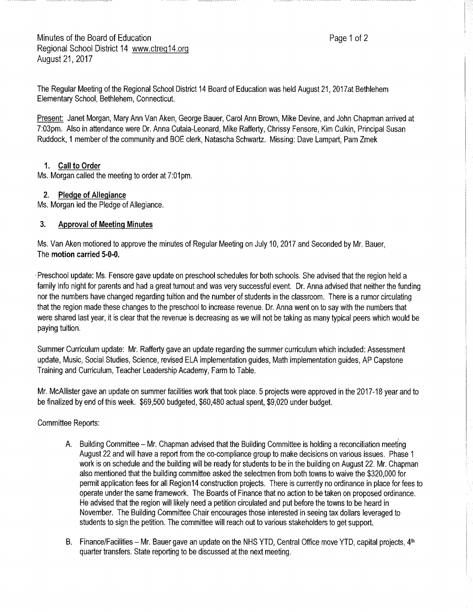The Regular Meeting of the Regional School District 14 Board of Education was held August 21, 2017at Bethlehem Elementary School, Bethlehem, Connecticut.

Present: Janet Morgan, Mary Ann Van Aken, George Bauer, Carol Ann Brown, Mike Devine, and John Chapman arrived at 7:03pm. Also in attendance were Dr. Anna Cutaia-Leonard, Mike Rafferty, Chrissy Fensore, Kim Culkin, Principal Susan Ruddock, 1member of the community and BOE clerk, Natascha Schwartz. Missing: Dave Lampart, Pam Zmek

# **1. Call to Order**

Ms. Morgan called the meeting to order at 7:01pm.

## **2. Pledge of Allegiance**

Ms. Morgan led the Pledge of Allegiance.

## **3. Approval of Meeting Minutes**

Ms. Van Aken: motioned to approve the minutes of Regular Meeting on July 10, 2017 and Seconded by Mr. Bauer, The **motion carried 5-0-0.** 

-Preschool update: Ms. Fensore gave update on preschool schedules for both schools. She advised that the region held a family info night for parents and had agreat turnout and was very successful event. Dr. Anna advised that neither the funding nor the numbers have changed regarding tuition and the number of students irr the classroom. There is a rumor circulating that the region made these changes to the preschool to increase revenue. Dr. Anna went on to say with the numbers that were shared last year, it is clear that the revenue is decreasing as we will not be taking as many typical peers which would be paying tuition.

Summer Curriculum update: Mr. Rafferty gave an update regarding the summer curriculum which included: Assessment update, Music, Social Studies, Science, revised ELA implementation guides, Math implementation guides, AP Capstone Training and Curriculum, Teacher Leadership Academy, Farm to Table.

Mr. McAllister gave an update on summer facilities work that took place. 5 projects were approved in the 2017-18 year and to be finalized by end of this week. \$69,500 budgeted, \$60,480 actual spent, \$9,020 under budget.

Committee Reports:

- A. Building Committee Mr. Chapman advised that the Building Committee is holding a reconciliation meeting August 22 and will have areport from the co-compliance group to make-decisions on various issues. Phase 1 work is on schedule and the building will be ready for students to be in the building on August 22. Mr. Chapman also mentioned that the building committee asked the selectmen from both towns to waive the \$320,000 for permit application fees for all Region14 construction projects. There is currently no ordinance in place for fees to operate under the same framework. The Boards of Finance that no action to be taken on proposed ordinance. He advised that the region will likely need apetition circulated and put before the towns to be heard in November. The Building Committee Chair encourages those interested in seeing tax dollars leveraged to students to sign the petition. The committee will reach out to various stakeholders to get support.
- B. Finance/Facilities Mr. Bauer gave an update on the NHS YTD, Central Office move YTD, capital projects,  $4<sup>th</sup>$ quarter transfers. State reporting to be discussed at the next meeting.